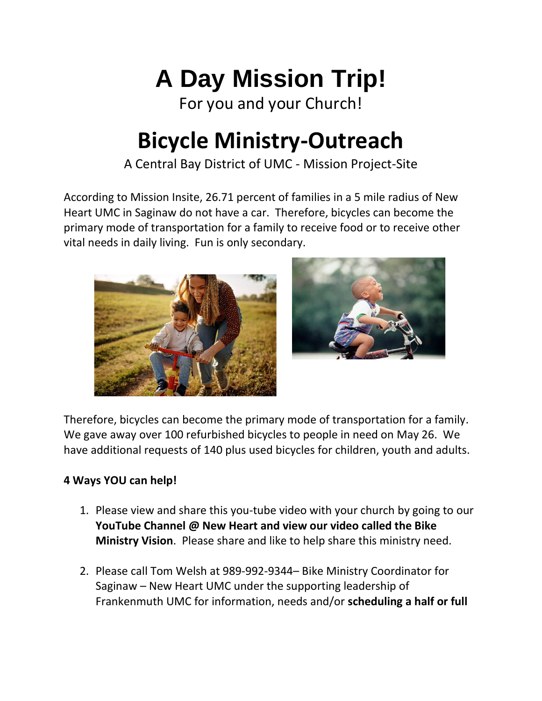## **A Day Mission Trip!**

For you and your Church!

## **Bicycle Ministry-Outreach**

A Central Bay District of UMC - Mission Project-Site

According to Mission Insite, 26.71 percent of families in a 5 mile radius of New Heart UMC in Saginaw do not have a car. Therefore, bicycles can become the primary mode of transportation for a family to receive food or to receive other vital needs in daily living. Fun is only secondary.





Therefore, bicycles can become the primary mode of transportation for a family. We gave away over 100 refurbished bicycles to people in need on May 26. We have additional requests of 140 plus used bicycles for children, youth and adults.

## **4 Ways YOU can help!**

- 1. Please view and share this you-tube video with your church by going to our **YouTube Channel @ New Heart and view our video called the Bike Ministry Vision**. Please share and like to help share this ministry need.
- 2. Please call Tom Welsh at 989-992-9344– Bike Ministry Coordinator for Saginaw – New Heart UMC under the supporting leadership of Frankenmuth UMC for information, needs and/or **scheduling a half or full**